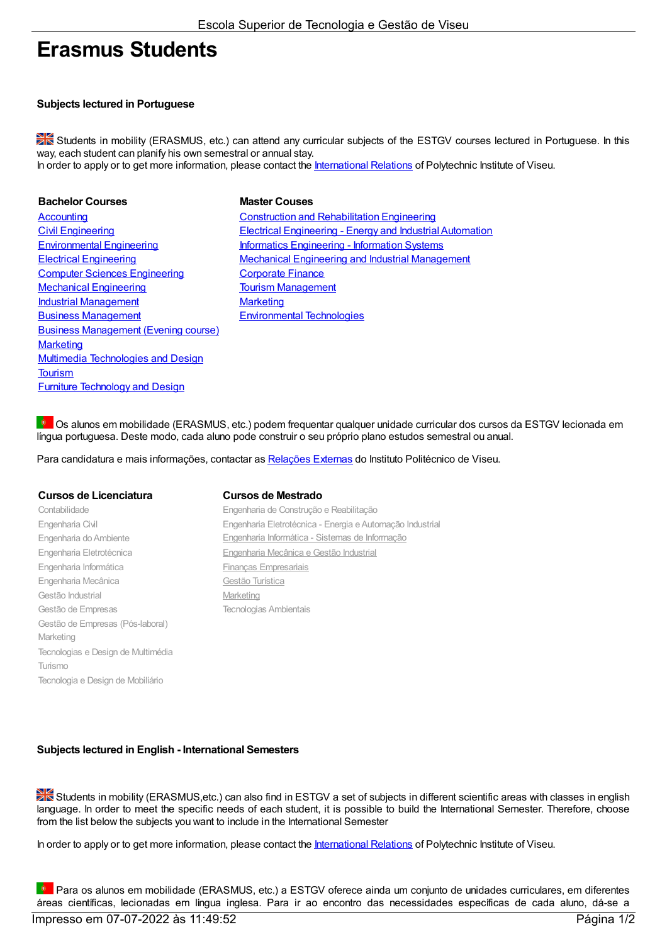# Erasmus Students

## Subjects lectured in Portuguese

Students in mobility (ERASMUS, etc.) can attend any curricular subjects of the ESTGV courses lectured in Portuguese. In this way, each student can planify his own semestral or annual stay. In order to apply or to get more information, please contact the International Relations of Polytechnic Institute of Viseu.

**Bachelor Courses Couses Master Couses** Computer Sciences Engineering Corporate Finance Mechanical Engineering Tourism Management **Industrial Management** Marketing Business Management Environmental Technologies Business Management (Evening course) **Marketing** Multimedia Technologies and Design **Tourism** Furniture Technology and Design

Accounting Construction and Rehabilitation Engineering Civil Engineering Electrical Engineering - Energy and IndustrialAutomation Environmental Engineering **Informatics Engineering - Information Systems** Electrical Engineering Mechanical Engineering and Industrial Management

**D** Os alunos em mobilidade (ERASMUS, etc.) podem frequentar qualquer unidade curricular dos cursos da ESTGV lecionada em língua portuguesa. Deste modo, cada aluno pode construir o seu próprio plano estudos semestral ou anual.

Para candidatura e mais informações, contactar as Relações Externas do Instituto Politécnico de Viseu.

### Cursos de Licenciatura Cursos de Mestrado

Gestão de Empresas (Pós-laboral)

Tecnologias e Design de Multimédia

Tecnologia e Design de Mobiliário

Marketing

Turismo

Engenharia Informática **Financias** Financas Empresariais Engenharia Mecânica Contra Gestão Turística Gestão Industrial **Marketing** 

Contabilidade Engenharia de Construção e Reabilitação Engenharia Civil Engenharia Eletrotécnica - Energia eAutomação Industrial Engenharia doAmbiente Engenharia Informática - Sistemas de Informação Engenharia Eletrotécnica Engenharia Mecânica e Gestão Industrial Gestão de Empresas Tecnologias Ambientais

## Subjects lectured in English - International Semesters

Students in mobility (ERASMUS, etc.) can also find in ESTGV a set of subjects in different scientific areas with classes in english language. In order to meet the specific needs of each student, it is possible to build the International Semester. Therefore, choose from the list below the subjects you want to include in the International Semester

In order to apply or to get more information, please contact the International Relations of Polytechnic Institute of Viseu.

**P** Para os alunos em mobilidade (ERASMUS, etc.) a ESTGV oferece ainda um conjunto de unidades curriculares, em diferentes áreas científicas, lecionadas em língua inglesa. Para ir ao encontro das necessidades específicas de cada aluno, dá-se a